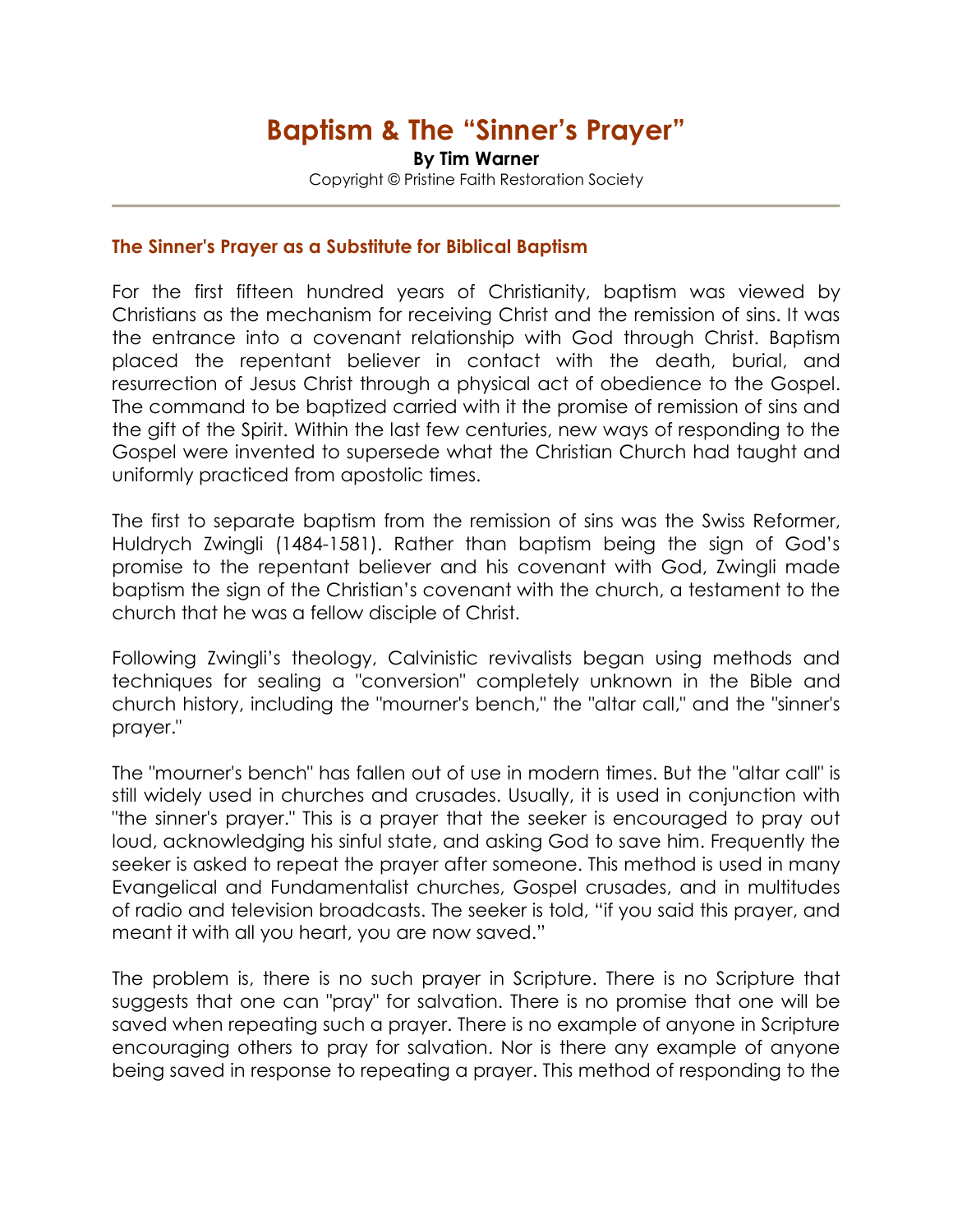# Baptism & The "Sinner's Prayer"

By Tim Warner Copyright © Pristine Faith Restoration Society

#### The Sinner's Prayer as a Substitute for Biblical Baptism

For the first fifteen hundred years of Christianity, baptism was viewed by Christians as the mechanism for receiving Christ and the remission of sins. It was the entrance into a covenant relationship with God through Christ. Baptism placed the repentant believer in contact with the death, burial, and resurrection of Jesus Christ through a physical act of obedience to the Gospel. The command to be baptized carried with it the promise of remission of sins and the gift of the Spirit. Within the last few centuries, new ways of responding to the Gospel were invented to supersede what the Christian Church had taught and uniformly practiced from apostolic times.

The first to separate baptism from the remission of sins was the Swiss Reformer, Huldrych Zwingli (1484-1581). Rather than baptism being the sign of God's promise to the repentant believer and his covenant with God, Zwingli made baptism the sign of the Christian's covenant with the church, a testament to the church that he was a fellow disciple of Christ.

Following Zwingli's theology, Calvinistic revivalists began using methods and techniques for sealing a "conversion" completely unknown in the Bible and church history, including the "mourner's bench," the "altar call," and the "sinner's prayer."

The "mourner's bench" has fallen out of use in modern times. But the "altar call" is still widely used in churches and crusades. Usually, it is used in conjunction with "the sinner's prayer." This is a prayer that the seeker is encouraged to pray out loud, acknowledging his sinful state, and asking God to save him. Frequently the seeker is asked to repeat the prayer after someone. This method is used in many Evangelical and Fundamentalist churches, Gospel crusades, and in multitudes of radio and television broadcasts. The seeker is told, "if you said this prayer, and meant it with all you heart, you are now saved."

The problem is, there is no such prayer in Scripture. There is no Scripture that suggests that one can "pray" for salvation. There is no promise that one will be saved when repeating such a prayer. There is no example of anyone in Scripture encouraging others to pray for salvation. Nor is there any example of anyone being saved in response to repeating a prayer. This method of responding to the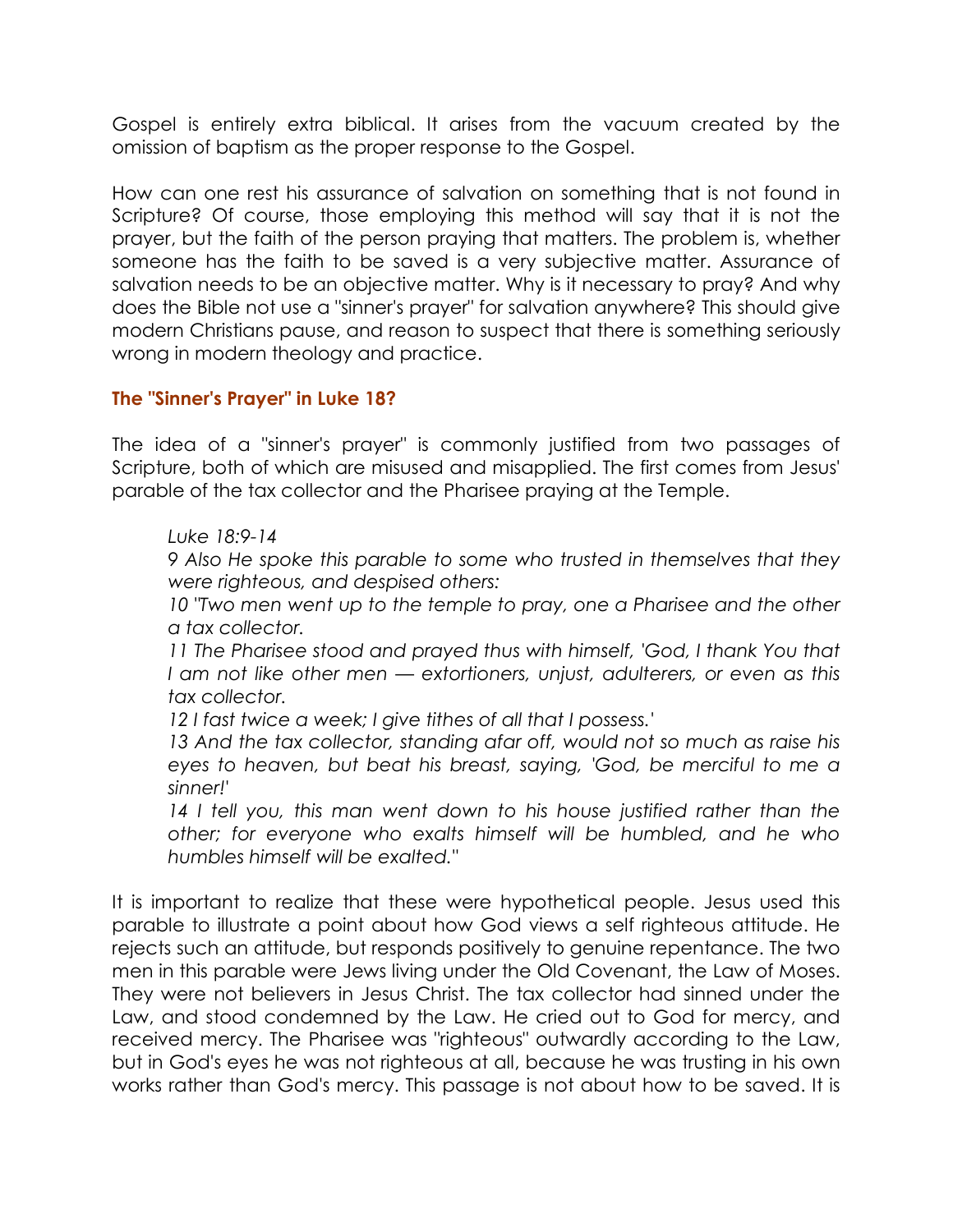Gospel is entirely extra biblical. It arises from the vacuum created by the omission of baptism as the proper response to the Gospel.

How can one rest his assurance of salvation on something that is not found in Scripture? Of course, those employing this method will say that it is not the prayer, but the faith of the person praying that matters. The problem is, whether someone has the faith to be saved is a very subjective matter. Assurance of salvation needs to be an objective matter. Why is it necessary to pray? And why does the Bible not use a "sinner's prayer" for salvation anywhere? This should give modern Christians pause, and reason to suspect that there is something seriously wrong in modern theology and practice.

### The "Sinner's Prayer" in Luke 18?

The idea of a "sinner's prayer" is commonly justified from two passages of Scripture, both of which are misused and misapplied. The first comes from Jesus' parable of the tax collector and the Pharisee praying at the Temple.

*Luke 18:9-14* 

*9 Also He spoke this parable to some who trusted in themselves that they were righteous, and despised others:* 

10 "Two men went up to the temple to pray, one a Pharisee and the other *a tax collector.* 

*11 The Pharisee stood and prayed thus with himself, 'God, I thank You that I am not like other men — extortioners, unjust, adulterers, or even as this tax collector.* 

*12 I fast twice a week; I give tithes of all that I possess.'* 

*13 And the tax collector, standing afar off, would not so much as raise his eyes to heaven, but beat his breast, saying, 'God, be merciful to me a sinner!'* 

*14 I tell you, this man went down to his house justified rather than the other; for everyone who exalts himself will be humbled, and he who humbles himself will be exalted."* 

It is important to realize that these were hypothetical people. Jesus used this parable to illustrate a point about how God views a self righteous attitude. He rejects such an attitude, but responds positively to genuine repentance. The two men in this parable were Jews living under the Old Covenant, the Law of Moses. They were not believers in Jesus Christ. The tax collector had sinned under the Law, and stood condemned by the Law. He cried out to God for mercy, and received mercy. The Pharisee was "righteous" outwardly according to the Law, but in God's eyes he was not righteous at all, because he was trusting in his own works rather than God's mercy. This passage is not about how to be saved. It is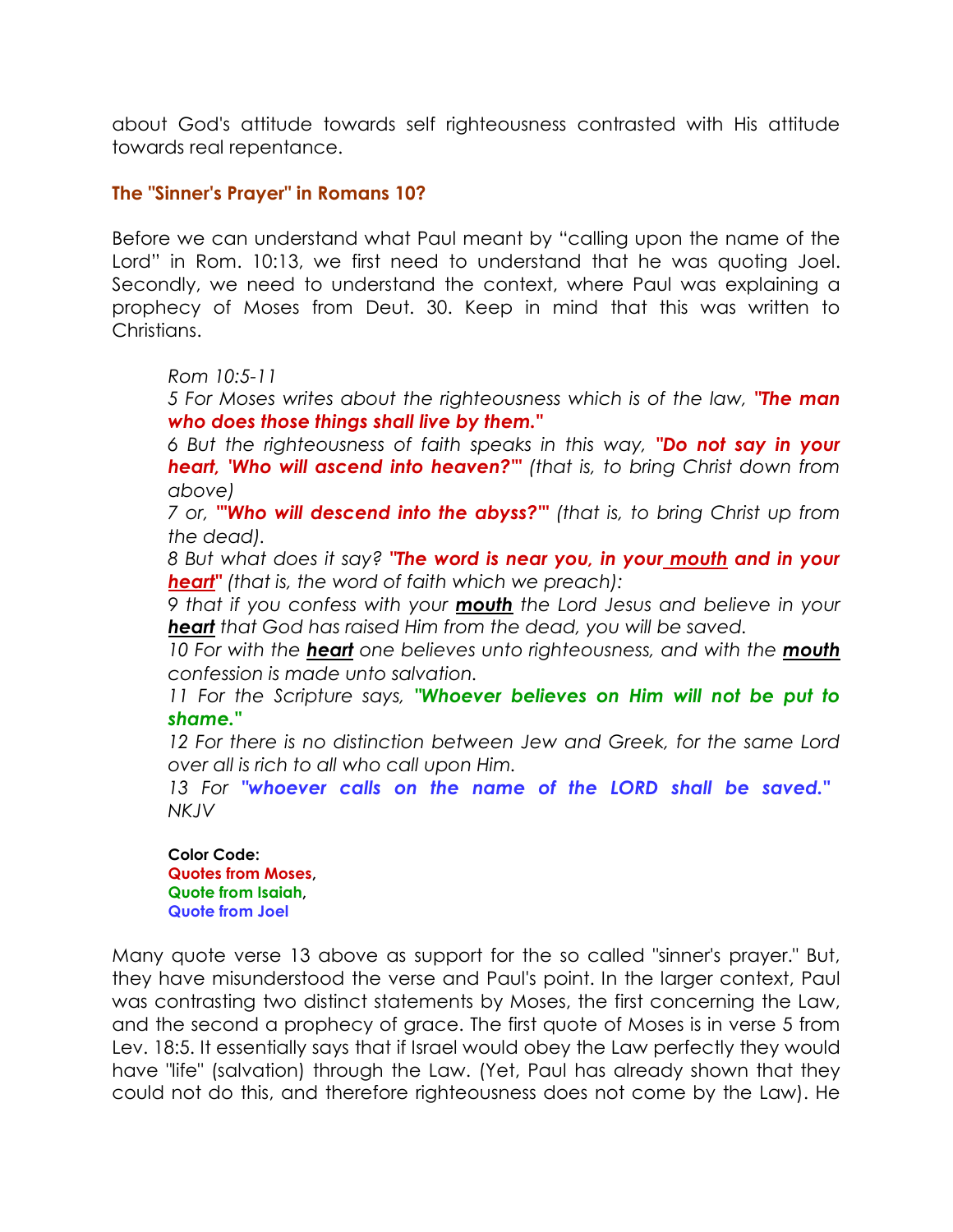about God's attitude towards self righteousness contrasted with His attitude towards real repentance.

### The "Sinner's Prayer" in Romans 10?

Before we can understand what Paul meant by "calling upon the name of the Lord" in Rom. 10:13, we first need to understand that he was quoting Joel. Secondly, we need to understand the context, where Paul was explaining a prophecy of Moses from Deut. 30. Keep in mind that this was written to Christians.

*Rom 10:5-11* 

*5 For Moses writes about the righteousness which is of the law,* "The man who does those things shall live by them."

*6 But the righteousness of faith speaks in this way,* "Do not say in your heart, 'Who will ascend into heaven?'" *(that is, to bring Christ down from above)* 

*7 or,* "'Who will descend into the abyss?'" *(that is, to bring Christ up from the dead).* 

*8 But what does it say?* "The word is near you, in your mouth and in your heart" *(that is, the word of faith which we preach):* 

*9 that if you confess with your* mouth *the Lord Jesus and believe in your*  heart *that God has raised Him from the dead, you will be saved.* 

10 For with the **heart** one believes unto righteousness, and with the **mouth** *confession is made unto salvation.* 

*11 For the Scripture says,* "Whoever believes on Him will not be put to shame."

*12 For there is no distinction between Jew and Greek, for the same Lord over all is rich to all who call upon Him.* 

*13 For* "whoever calls on the name of the LORD shall be saved." *NKJV*

Color Code: Quotes from Moses, Quote from Isaiah, Quote from Joel

Many quote verse 13 above as support for the so called "sinner's prayer." But, they have misunderstood the verse and Paul's point. In the larger context, Paul was contrasting two distinct statements by Moses, the first concerning the Law, and the second a prophecy of grace. The first quote of Moses is in verse 5 from Lev. 18:5. It essentially says that if Israel would obey the Law perfectly they would have "life" (salvation) through the Law. (Yet, Paul has already shown that they could not do this, and therefore righteousness does not come by the Law). He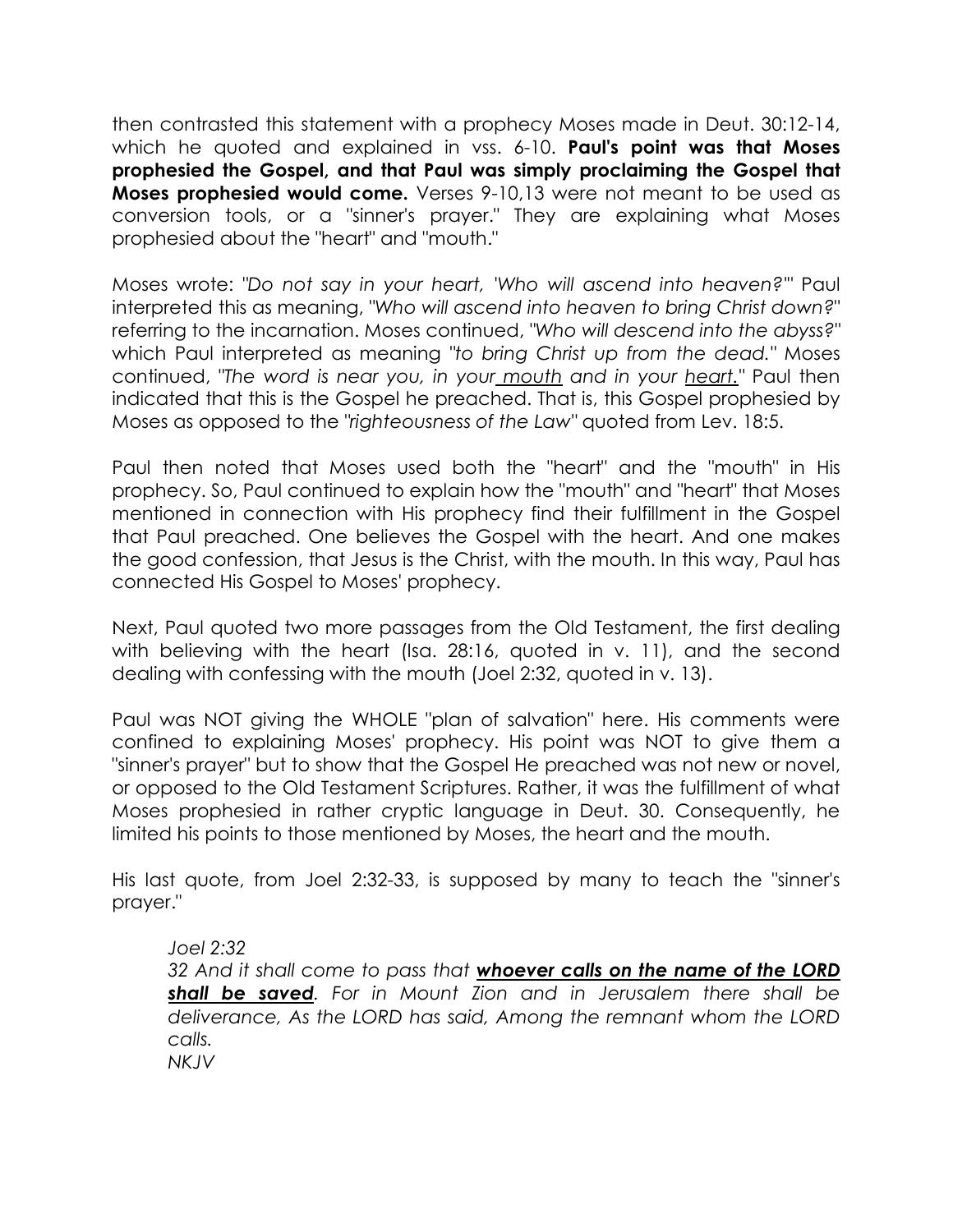then contrasted this statement with a prophecy Moses made in Deut. 30:12-14, which he quoted and explained in vss. 6-10. Paul's point was that Moses prophesied the Gospel, and that Paul was simply proclaiming the Gospel that **Moses prophesied would come.** Verses 9-10,13 were not meant to be used as conversion tools, or a "sinner's prayer." They are explaining what Moses prophesied about the "heart" and "mouth."

Moses wrote: *"Do not say in your heart, 'Who will ascend into heaven?'"* Paul interpreted this as meaning, *"Who will ascend into heaven to bring Christ down?*" referring to the incarnation. Moses continued, *"Who will descend into the abyss?"* which Paul interpreted as meaning *"to bring Christ up from the dead."* Moses continued, *"The word is near you, in your mouth and in your heart."* Paul then indicated that this is the Gospel he preached. That is, this Gospel prophesied by Moses as opposed to the *"righteousness of the Law"* quoted from Lev. 18:5.

Paul then noted that Moses used both the "heart" and the "mouth" in His prophecy. So, Paul continued to explain how the "mouth" and "heart" that Moses mentioned in connection with His prophecy find their fulfillment in the Gospel that Paul preached. One believes the Gospel with the heart. And one makes the good confession, that Jesus is the Christ, with the mouth. In this way, Paul has connected His Gospel to Moses' prophecy.

Next, Paul quoted two more passages from the Old Testament, the first dealing with believing with the heart (Isa. 28:16, quoted in v. 11), and the second dealing with confessing with the mouth (Joel 2:32, quoted in v. 13).

Paul was NOT giving the WHOLE "plan of salvation" here. His comments were confined to explaining Moses' prophecy. His point was NOT to give them a "sinner's prayer" but to show that the Gospel He preached was not new or novel, or opposed to the Old Testament Scriptures. Rather, it was the fulfillment of what Moses prophesied in rather cryptic language in Deut. 30. Consequently, he limited his points to those mentioned by Moses, the heart and the mouth.

His last quote, from Joel 2:32-33, is supposed by many to teach the "sinner's prayer."

*Joel 2:32 32 And it shall come to pass that* whoever calls on the name of the LORD shall be saved*. For in Mount Zion and in Jerusalem there shall be deliverance, As the LORD has said, Among the remnant whom the LORD calls. NKJV*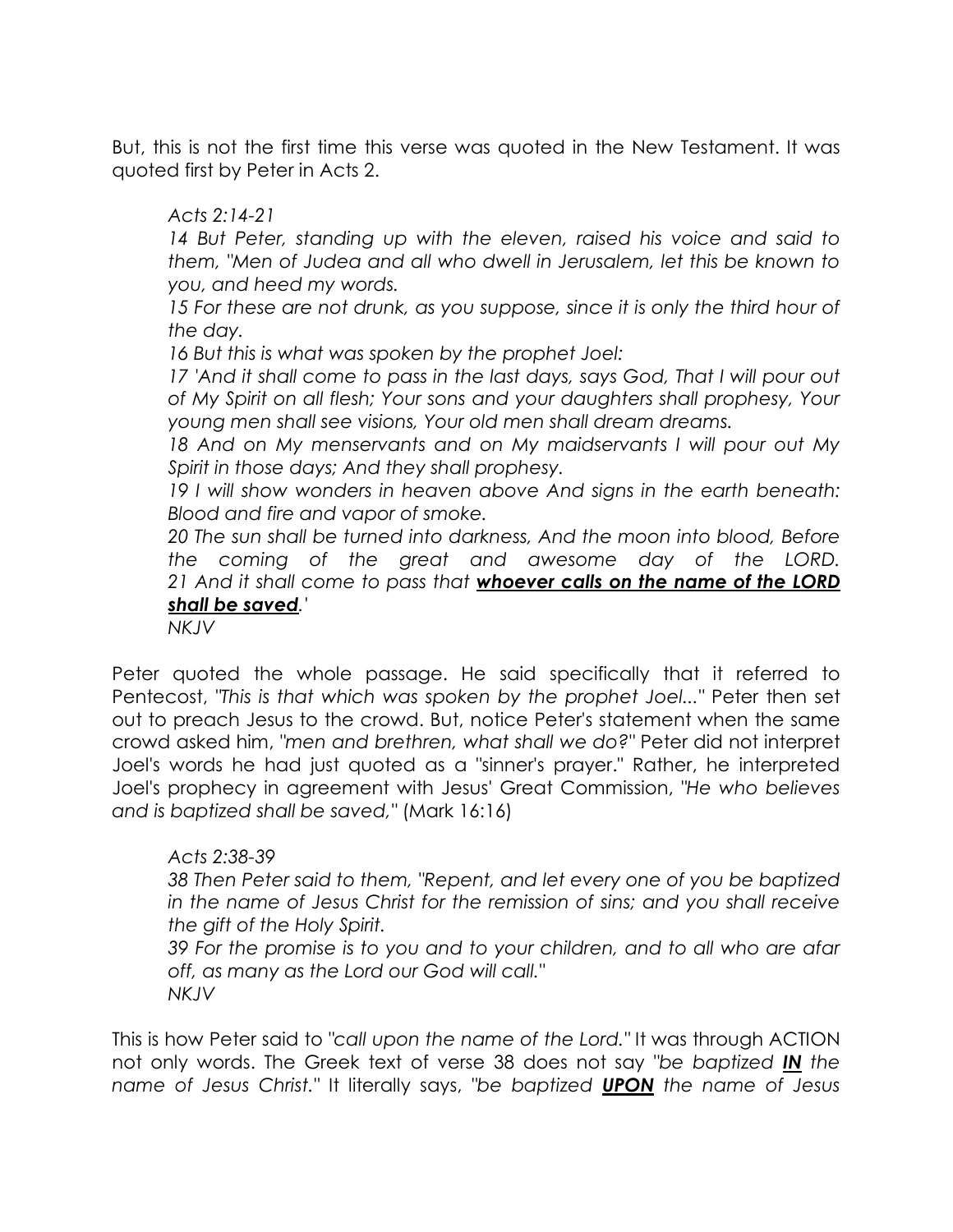But, this is not the first time this verse was quoted in the New Testament. It was quoted first by Peter in Acts 2.

## *Acts 2:14-21*

14 But Peter, standing up with the eleven, raised his voice and said to *them, "Men of Judea and all who dwell in Jerusalem, let this be known to you, and heed my words.* 

15 For these are not drunk, as you suppose, since it is only the third hour of *the day.* 

*16 But this is what was spoken by the prophet Joel:* 

17 'And it shall come to pass in the last days, says God, That I will pour out *of My Spirit on all flesh; Your sons and your daughters shall prophesy, Your young men shall see visions, Your old men shall dream dreams.* 

*18 And on My menservants and on My maidservants I will pour out My Spirit in those days; And they shall prophesy.* 

*19 I will show wonders in heaven above And signs in the earth beneath: Blood and fire and vapor of smoke.* 

*20 The sun shall be turned into darkness, And the moon into blood, Before the coming of the great and awesome day of the LORD. 21 And it shall come to pass that* whoever calls on the name of the LORD shall be saved*.'* 

*NKJV*

Peter quoted the whole passage. He said specifically that it referred to Pentecost, *"This is that which was spoken by the prophet Joel..."* Peter then set out to preach Jesus to the crowd. But, notice Peter's statement when the same crowd asked him, *"men and brethren, what shall we do?"* Peter did not interpret Joel's words he had just quoted as a "sinner's prayer." Rather, he interpreted Joel's prophecy in agreement with Jesus' Great Commission, *"He who believes and is baptized shall be saved,"* (Mark 16:16)

## *Acts 2:38-39*

*38 Then Peter said to them, "Repent, and let every one of you be baptized in the name of Jesus Christ for the remission of sins; and you shall receive the gift of the Holy Spirit.* 

*39 For the promise is to you and to your children, and to all who are afar off, as many as the Lord our God will call." NKJV*

This is how Peter said to *"call upon the name of the Lord."* It was through ACTION not only words. The Greek text of verse 38 does not say *"be baptized* IN *the name of Jesus Christ."* It literally says, *"be baptized* UPON *the name of Jesus*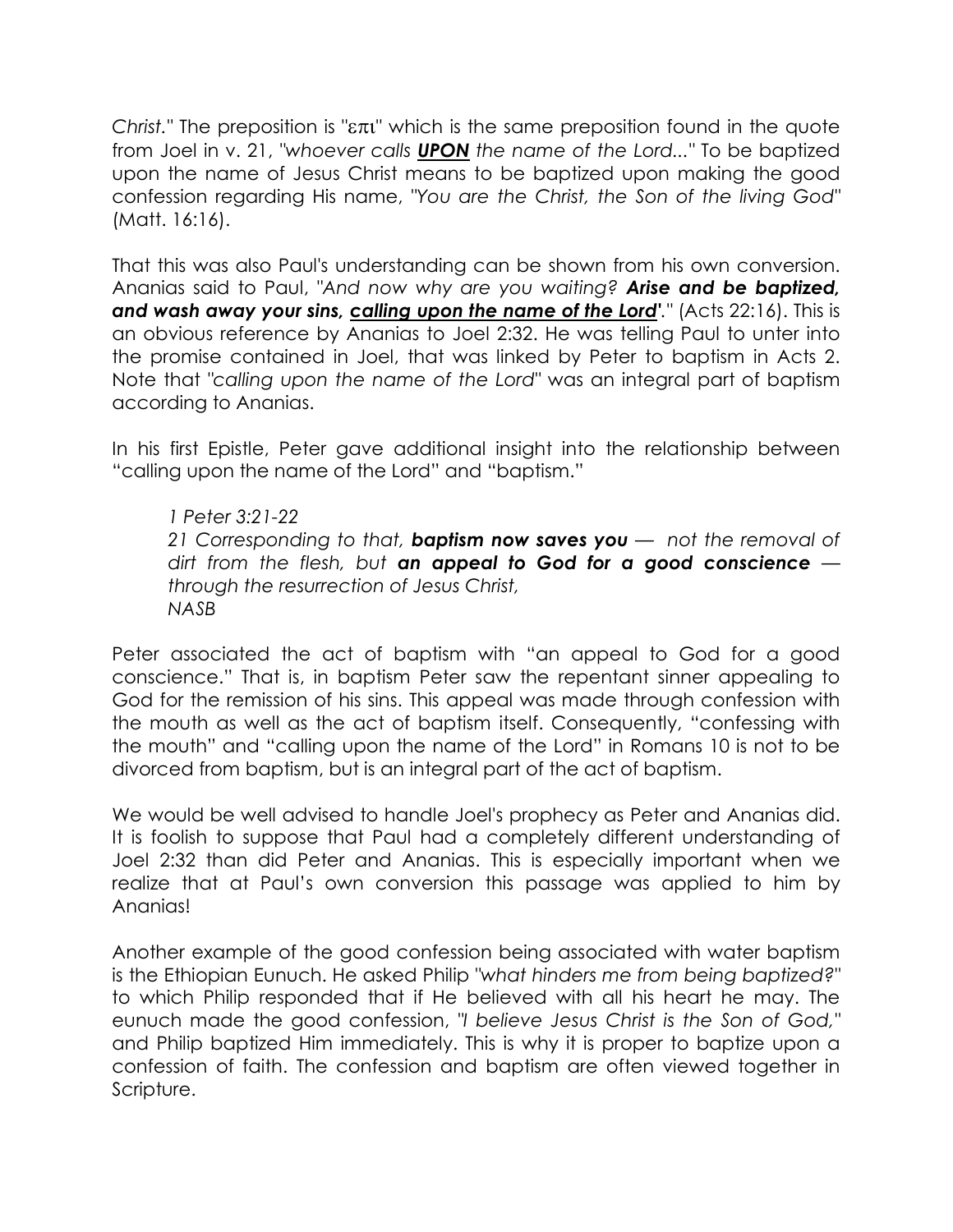*Christ."* The preposition is "επι" which is the same preposition found in the quote from Joel in v. 21, *"whoever calls* UPON *the name of the Lord..."* To be baptized upon the name of Jesus Christ means to be baptized upon making the good confession regarding His name, *"You are the Christ, the Son of the living God"* (Matt. 16:16).

That this was also Paul's understanding can be shown from his own conversion. Ananias said to Paul, *"And now why are you waiting?* Arise and be baptized, and wash away your sins, calling upon the name of the Lord<sup>'</sup>." (Acts 22:16). This is an obvious reference by Ananias to Joel 2:32. He was telling Paul to unter into the promise contained in Joel, that was linked by Peter to baptism in Acts 2. Note that *"calling upon the name of the Lord"* was an integral part of baptism according to Ananias.

In his first Epistle, Peter gave additional insight into the relationship between "calling upon the name of the Lord" and "baptism."

*1 Peter 3:21-22 21 Corresponding to that,* baptism now saves you *— not the removal of dirt from the flesh, but* an appeal to God for a good conscience *through the resurrection of Jesus Christ, NASB* 

Peter associated the act of baptism with "an appeal to God for a good conscience." That is, in baptism Peter saw the repentant sinner appealing to God for the remission of his sins. This appeal was made through confession with the mouth as well as the act of baptism itself. Consequently, "confessing with the mouth" and "calling upon the name of the Lord" in Romans 10 is not to be divorced from baptism, but is an integral part of the act of baptism.

We would be well advised to handle Joel's prophecy as Peter and Ananias did. It is foolish to suppose that Paul had a completely different understanding of Joel 2:32 than did Peter and Ananias. This is especially important when we realize that at Paul's own conversion this passage was applied to him by Ananias!

Another example of the good confession being associated with water baptism is the Ethiopian Eunuch. He asked Philip *"what hinders me from being baptized?"* to which Philip responded that if He believed with all his heart he may. The eunuch made the good confession, *"I believe Jesus Christ is the Son of God,"* and Philip baptized Him immediately. This is why it is proper to baptize upon a confession of faith. The confession and baptism are often viewed together in Scripture.